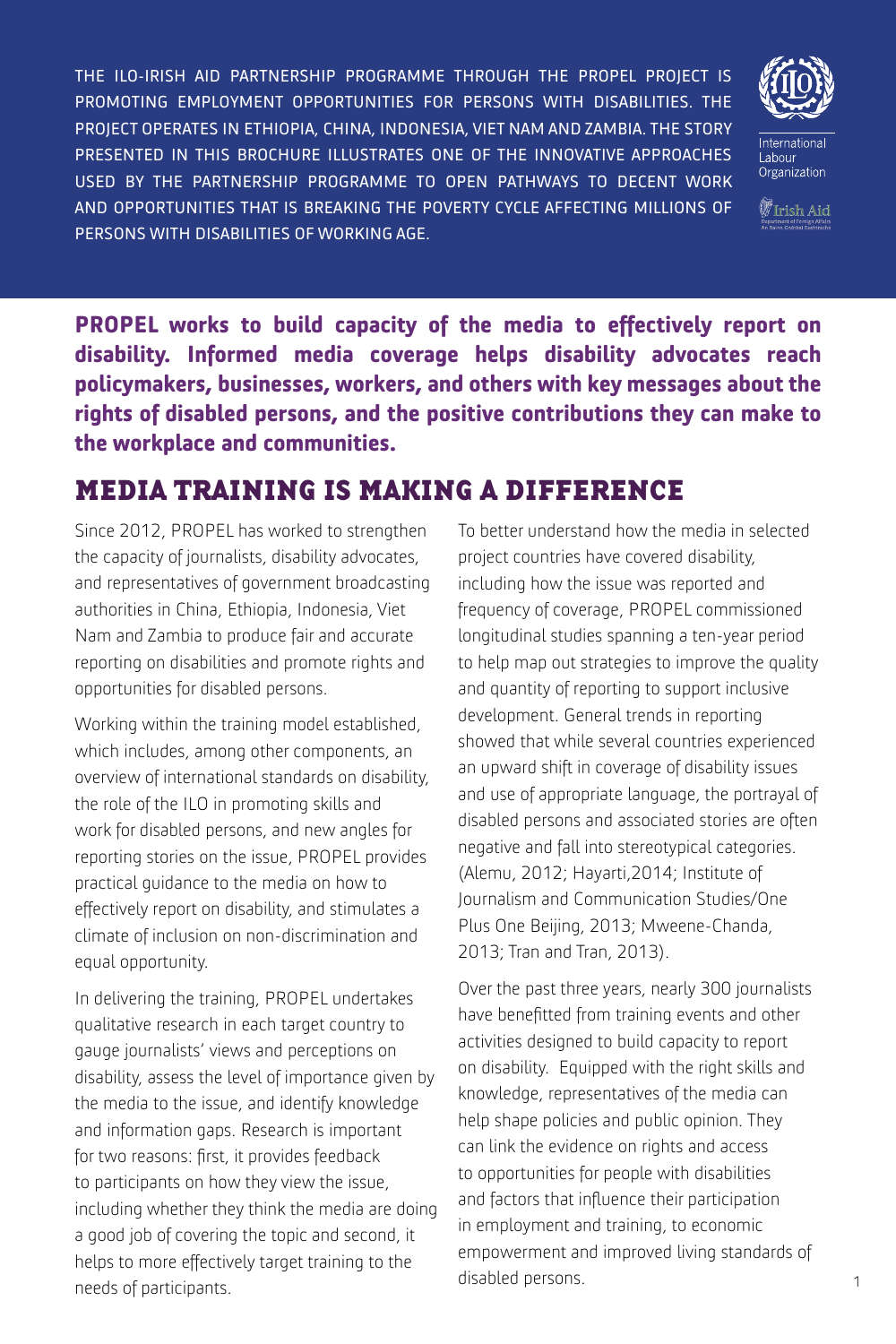THE ILO-IRISH AID PARTNERSHIP PROGRAMME THROUGH THE PROPEL PROJECT IS PROMOTING EMPLOYMENT OPPORTUNITIES FOR PERSONS WITH DISABILITIES. THE PROJECT OPERATES IN ETHIOPIA, CHINA, INDONESIA, VIET NAM AND ZAMBIA. THE STORY PRESENTED IN THIS BROCHURE ILLUSTRATES ONE OF THE INNOVATIVE APPROACHES USED BY THE PARTNERSHIP PROGRAMME TO OPEN PATHWAYS TO DECENT WORK AND OPPORTUNITIES THAT IS BREAKING THE POVERTY CYCLE AFFECTING MILLIONS OF PERSONS WITH DISABILITIES OF WORKING AGE.



 $\mathbb W$ Irish Aid

**PROPEL works to build capacity of the media to effectively report on disability. Informed media coverage helps disability advocates reach policymakers, businesses, workers, and others with key messages about the rights of disabled persons, and the positive contributions they can make to the workplace and communities.** 

# MEDIA TRAINING IS MAKING A DIFFERENCE

Since 2012, PROPEL has worked to strengthen the capacity of journalists, disability advocates, and representatives of government broadcasting authorities in China, Ethiopia, Indonesia, Viet Nam and Zambia to produce fair and accurate reporting on disabilities and promote rights and opportunities for disabled persons.

Working within the training model established, which includes, among other components, an overview of international standards on disability, the role of the ILO in promoting skills and work for disabled persons, and new angles for reporting stories on the issue, PROPEL provides practical guidance to the media on how to effectively report on disability, and stimulates a climate of inclusion on non-discrimination and equal opportunity.

In delivering the training, PROPEL undertakes qualitative research in each target country to gauge journalists' views and perceptions on disability, assess the level of importance given by the media to the issue, and identify knowledge and information gaps. Research is important for two reasons: first, it provides feedback to participants on how they view the issue, including whether they think the media are doing a good job of covering the topic and second, it helps to more effectively target training to the needs of participants.

To better understand how the media in selected project countries have covered disability, including how the issue was reported and frequency of coverage, PROPEL commissioned longitudinal studies spanning a ten-year period to help map out strategies to improve the quality and quantity of reporting to support inclusive development. General trends in reporting showed that while several countries experienced an upward shift in coverage of disability issues and use of appropriate language, the portrayal of disabled persons and associated stories are often negative and fall into stereotypical categories. (Alemu, 2012; Hayarti,2014; Institute of Journalism and Communication Studies/One Plus One Beijing, 2013; Mweene-Chanda, 2013; Tran and Tran, 2013).

Over the past three years, nearly 300 journalists have benefitted from training events and other activities designed to build capacity to report on disability. Equipped with the right skills and knowledge, representatives of the media can help shape policies and public opinion. They can link the evidence on rights and access to opportunities for people with disabilities and factors that influence their participation in employment and training, to economic empowerment and improved living standards of disabled persons.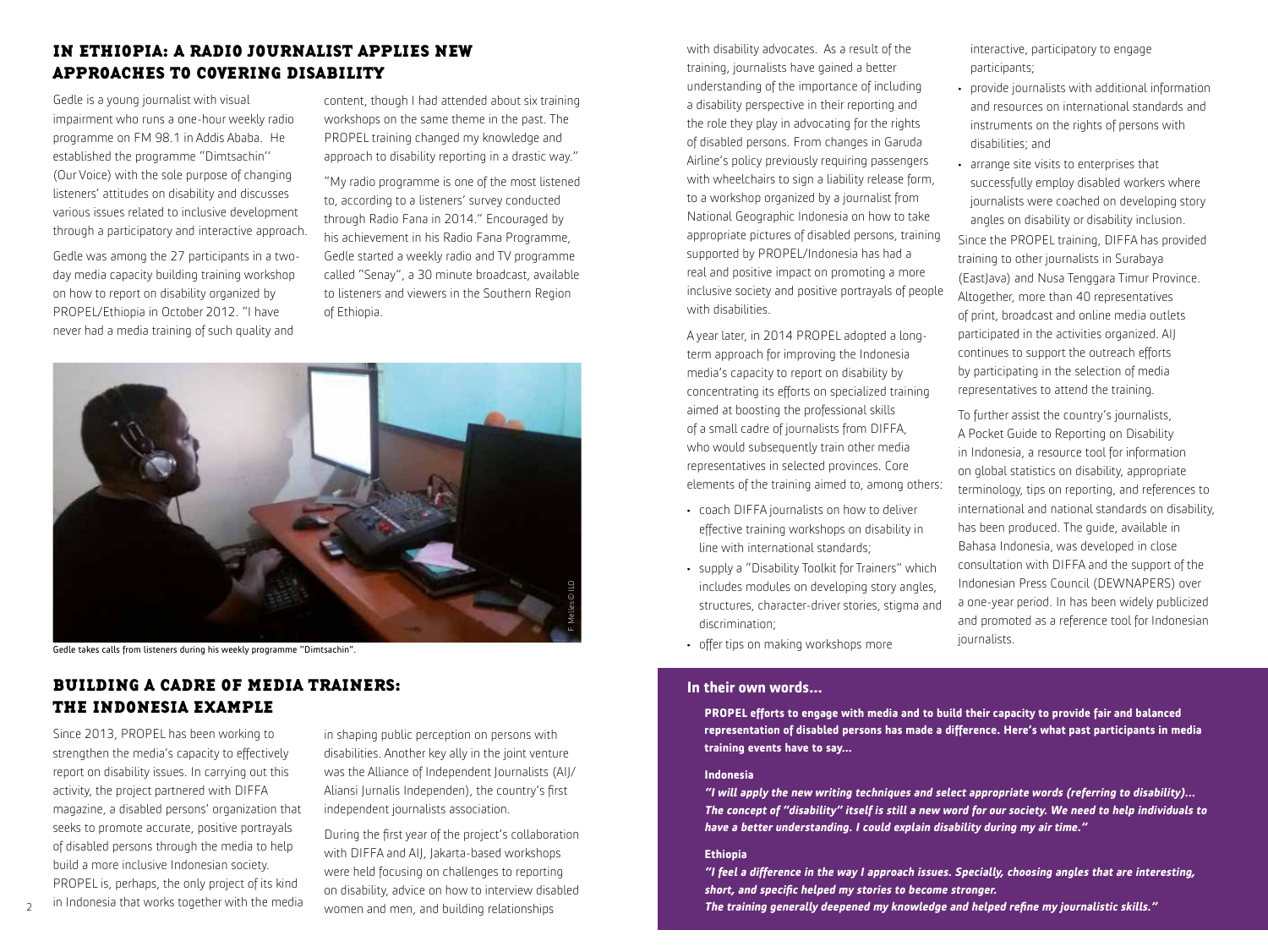## IN ETHIOPIA: A RADIO JOURNALIST APPLIES NEW APPROACHES TO COVERING DISABILITY

Gedle is a young journalist with visual impairment who runs a one-hour weekly radio programme on FM 98.1 in Addis Ababa. He established the programme "Dimtsachin'' (Our Voice) with the sole purpose of changing listeners' attitudes on disability and discusses various issues related to inclusive development through a participatory and interactive approach.

Gedle was among the 27 participants in a twoday media capacity building training workshop on how to report on disability organized by PROPEL/Ethiopia in October 2012. "I have never had a media training of such quality and

content, though I had attended about six training workshops on the same theme in the past. The PROPEL training changed my knowledge and approach to disability reporting in a drastic way."

"My radio programme is one of the most listened to, according to a listeners' survey conducted through Radio Fana in 2014." Encouraged by his achievement in his Radio Fana Programme, Gedle started a weekly radio and TV programme called "Senay", a 30 minute broadcast, available to listeners and viewers in the Southern Region of Ethiopia.



Gedle takes calls from listeners during his weekly programme "Dimtsachin".

## BUILDING A CADRE OF MEDIA TRAINERS: THE INDONESIA EXAMPLE

Since 2013, PROPEL has been working to strengthen the media's capacity to effectively report on disability issues. In carrying out this activity, the project partnered with DIFFA magazine, a disabled persons' organization that seeks to promote accurate, positive portrayals of disabled persons through the media to help build a more inclusive Indonesian society. PROPEL is, perhaps, the only project of its kind in Indonesia that works together with the media in shaping public perception on persons with disabilities. Another key ally in the joint venture was the Alliance of Independent Journalists (AIJ/ Aliansi Jurnalis Independen), the country's first independent journalists association.

During the first year of the project's collaboration with DIFFA and AIJ, Jakarta-based workshops were held focusing on challenges to reporting on disability, advice on how to interview disabled women and men, and building relationships

with disability advocates. As a result of the training, journalists have gained a better understanding of the importance of including a disability perspective in their reporting and the role they play in advocating for the rights of disabled persons. From changes in Garuda Airline's policy previously requiring passengers with wheelchairs to sign a liability release form, to a workshop organized by a journalist from National Geographic Indonesia on how to take appropriate pictures of disabled persons, training supported by PROPEL/Indonesia has had a real and positive impact on promoting a more inclusive society and positive portrayals of people with disabilities.

A year later, in 2014 PROPEL adopted a longterm approach for improving the Indonesia media's capacity to report on disability by concentrating its efforts on specialized training aimed at boosting the professional skills of a small cadre of journalists from DIFFA, who would subsequently train other media representatives in selected provinces. Core elements of the training aimed to, among others:

- coach DIFFA journalists on how to deliver effective training workshops on disability in line with international standards;
- supply a "Disability Toolkit for Trainers" which includes modules on developing story angles, structures, character-driver stories, stigma and discrimination;
- offer tips on making workshops more

### **In their own words…**

**PROPEL efforts to engage with media and to build their capacity to provide fair and balanced representation of disabled persons has made a difference. Here's what past participants in media training events have to say…**

### **Indonesia**

**"I will apply the new writing techniques and select appropriate words (referring to disability)... The concept of "disability" itself is still a new word for our society. We need to help individuals to have a better understanding. I could explain disability during my air time."**

#### **Ethiopia**

**"I feel a difference in the way I approach issues. Specially, choosing angles that are interesting, short, and specific helped my stories to become stronger.** 

2 DILITIOONESId that works together with the meon and men, and building relationships **The training generally deepened my knowledge and helped refine my journalistic skills."** And the state of the training senerally deepen

interactive, participatory to engage participants;

- provide journalists with additional information and resources on international standards and instruments on the rights of persons with disabilities; and
- arrange site visits to enterprises that successfully employ disabled workers where journalists were coached on developing story angles on disability or disability inclusion.

Since the PROPEL training, DIFFA has provided training to other journalists in Surabaya (EastJava) and Nusa Tenggara Timur Province. Altogether, more than 40 representatives of print, broadcast and online media outlets participated in the activities organized. AIJ continues to support the outreach efforts by participating in the selection of media representatives to attend the training.

To further assist the country's journalists, A Pocket Guide to Reporting on Disability in Indonesia, a resource tool for information on global statistics on disability, appropriate terminology, tips on reporting, and references to international and national standards on disability, has been produced. The guide, available in Bahasa Indonesia, was developed in close consultation with DIFFA and the support of the Indonesian Press Council (DEWNAPERS) over a one-year period. In has been widely publicized and promoted as a reference tool for Indonesian journalists.